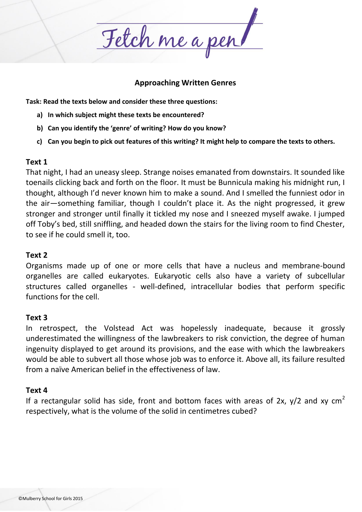Fetch me a pen

### **Approaching Written Genres**

**Task: Read the texts below and consider these three questions:**

- **a) In which subject might these texts be encountered?**
- **b) Can you identify the 'genre' of writing? How do you know?**
- **c) Can you begin to pick out features of this writing? It might help to compare the texts to others.**

### **Text 1**

That night, I had an uneasy sleep. Strange noises emanated from downstairs. It sounded like toenails clicking back and forth on the floor. It must be Bunnicula making his midnight run, I thought, although I'd never known him to make a sound. And I smelled the funniest odor in the air—something familiar, though I couldn't place it. As the night progressed, it grew stronger and stronger until finally it tickled my nose and I sneezed myself awake. I jumped off Toby's bed, still sniffling, and headed down the stairs for the living room to find Chester, to see if he could smell it, too.

# **Text 2**

Organisms made up of one or more cells that have a nucleus and membrane-bound organelles are called eukaryotes. Eukaryotic cells also have a variety of subcellular structures called organelles - well-defined, intracellular bodies that perform specific functions for the cell.

# **Text 3**

In retrospect, the Volstead Act was hopelessly inadequate, because it grossly underestimated the willingness of the lawbreakers to risk conviction, the degree of human ingenuity displayed to get around its provisions, and the ease with which the lawbreakers would be able to subvert all those whose job was to enforce it. Above all, its failure resulted from a naïve American belief in the effectiveness of law.

# **Text 4**

If a rectangular solid has side, front and bottom faces with areas of 2x,  $y/2$  and xy cm<sup>2</sup> respectively, what is the volume of the solid in centimetres cubed?